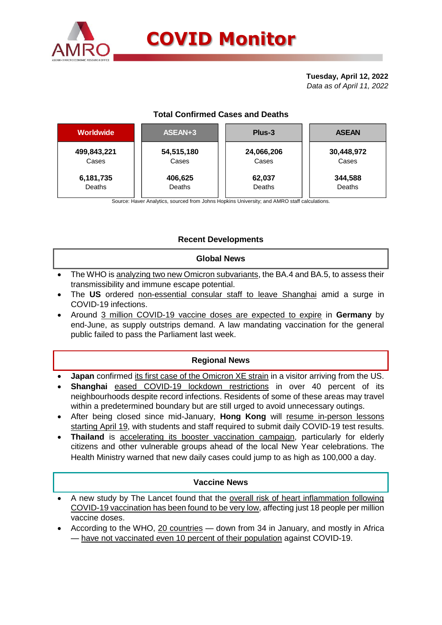

# **COVID Monitor**

#### **Tuesday, April 12, 2022** *Data as of April 11, 2022*

# **Total Confirmed Cases and Deaths**

| Worldwide   | ASEAN+3    | Plus-3     | <b>ASEAN</b> |  |  |
|-------------|------------|------------|--------------|--|--|
| 499,843,221 | 54,515,180 | 24,066,206 | 30,448,972   |  |  |
| Cases       | Cases      | Cases      | Cases        |  |  |
| 6,181,735   | 406,625    | 62,037     | 344,588      |  |  |
| Deaths      | Deaths     | Deaths     | Deaths       |  |  |

Source: Haver Analytics, sourced from Johns Hopkins University; and AMRO staff calculations.

# **Recent Developments**

### **Global News**

- The WHO is analyzing two new Omicron subvariants, the BA.4 and BA.5, to assess their transmissibility and immune escape potential.
- The **US** ordered non-essential consular staff to leave Shanghai amid a surge in COVID-19 infections.
- Around 3 million COVID-19 vaccine doses are expected to expire in **Germany** by end-June, as supply outstrips demand. A law mandating vaccination for the general public failed to pass the Parliament last week.

# **Regional News**

- **Japan** confirmed its first case of the Omicron XE strain in a visitor arriving from the US.
- **Shanghai** eased COVID-19 lockdown restrictions in over 40 percent of its neighbourhoods despite record infections. Residents of some of these areas may travel within a predetermined boundary but are still urged to avoid unnecessary outings.
- After being closed since mid-January, **Hong Kong** will resume in-person lessons starting April 19, with students and staff required to submit daily COVID-19 test results.
- **Thailand** is accelerating its booster vaccination campaign, particularly for elderly citizens and other vulnerable groups ahead of the local New Year celebrations. The Health Ministry warned that new daily cases could jump to as high as 100,000 a day.

#### **Vaccine News**

- A new study by The Lancet found that the overall risk of heart inflammation following COVID-19 vaccination has been found to be very low, affecting just 18 people per million vaccine doses.
- According to the WHO, 20 countries down from 34 in January, and mostly in Africa — have not vaccinated even 10 percent of their population against COVID-19.